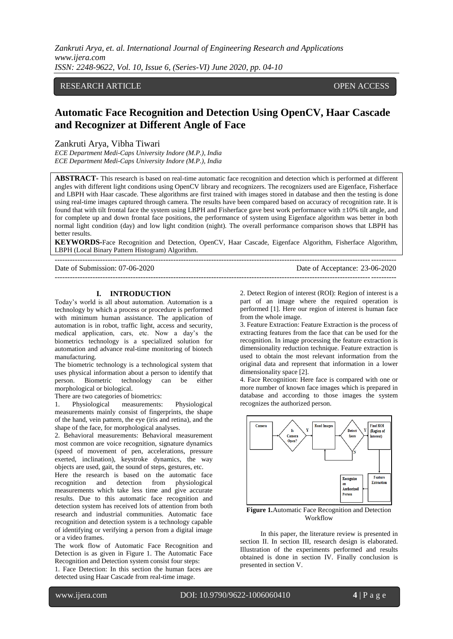# RESEARCH ARTICLE **ARTICLE** And the set of the set of the set of the set of the set of the set of the set of the set of the set of the set of the set of the set of the set of the set of the set of the set of the set of the

# **Automatic Face Recognition and Detection Using OpenCV, Haar Cascade and Recognizer at Different Angle of Face**

### Zankruti Arya, Vibha Tiwari

*ECE Department Medi-Caps University Indore (M.P.), India ECE Department Medi-Caps University Indore (M.P.), India*

**ABSTRACT-** This research is based on real-time automatic face recognition and detection which is performed at different angles with different light conditions using OpenCV library and recognizers. The recognizers used are Eigenface, Fisherface and LBPH with Haar cascade. These algorithms are first trained with images stored in database and then the testing is done using real-time images captured through camera. The results have been compared based on accuracy of recognition rate. It is found that with tilt frontal face the system using LBPH and Fisherface gave best work performance with ±10% tilt angle, and for complete up and down frontal face positions, the performance of system using Eigenface algorithm was better in both normal light condition (day) and low light condition (night). The overall performance comparison shows that LBPH has better results.

**KEYWORDS-**Face Recognition and Detection, OpenCV, Haar Cascade, Eigenface Algorithm, Fisherface Algorithm, LBPH (Local Binary Pattern Histogram) Algorithm.

| Date of Submission: 07-06-2020 | Date of Acceptance: 23-06-2020 |
|--------------------------------|--------------------------------|
|                                |                                |

## **I. INTRODUCTION**

Today's world is all about automation. Automation is a technology by which a process or procedure is performed with minimum human assistance. The application of automation is in robot, traffic light, access and security, medical application, cars, etc. Now a day's the biometrics technology is a specialized solution for automation and advance real-time monitoring of biotech manufacturing.

The biometric technology is a technological system that uses physical information about a person to identify that person. Biometric technology can be either morphological or biological.

There are two categories of biometrics:

1. Physiological measurements: Physiological measurements mainly consist of fingerprints, the shape of the hand, vein pattern, the eye (iris and retina), and the shape of the face, for morphological analyses.

2. Behavioral measurements: Behavioral measurement most common are voice recognition, signature dynamics (speed of movement of pen, accelerations, pressure exerted, inclination), keystroke dynamics, the way objects are used, gait, the sound of steps, gestures, etc.

Here the research is based on the automatic face recognition and detection from physiological measurements which take less time and give accurate results. Due to this automatic face recognition and detection system has received lots of attention from both research and industrial communities. Automatic face recognition and detection system is a technology capable of identifying or verifying a person from a digital image or a video frames.

The work flow of Automatic Face Recognition and Detection is as given in Figure 1. The Automatic Face Recognition and Detection system consist four steps:

1. Face Detection: In this section the human faces are detected using Haar Cascade from real-time image.

2. Detect Region of interest (ROI): Region of interest is a part of an image where the required operation is performed [1]. Here our region of interest is human face from the whole image.

3. Feature Extraction: Feature Extraction is the process of extracting features from the face that can be used for the recognition. In image processing the feature extraction is dimensionality reduction technique. Feature extraction is used to obtain the most relevant information from the original data and represent that information in a lower dimensionality space [2].

4. Face Recognition: Here face is compared with one or more number of known face images which is prepared in database and according to those images the system recognizes the authorized person.



**Figure 1.**Automatic Face Recognition and Detection Workflow

In this paper, the literature review is presented in section II. In section III, research design is elaborated. Illustration of the experiments performed and results obtained is done in section IV. Finally conclusion is presented in section V.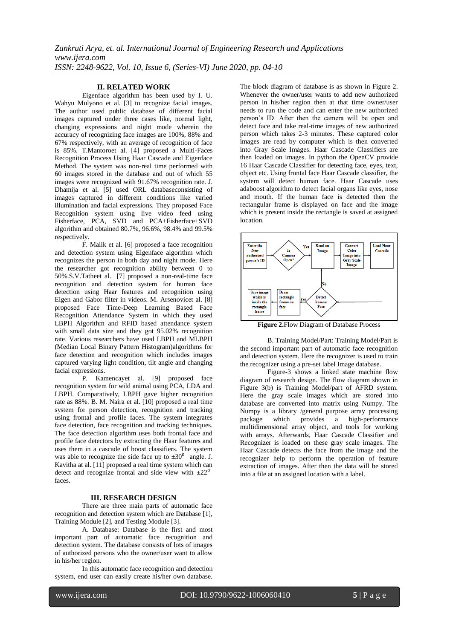# **II. RELATED WORK**

Eigenface algorithm has been used by I. U. Wahyu Mulyono et al. [3] to recognize facial images. The author used public database of different facial images captured under three cases like, normal light, changing expressions and night mode wherein the accuracy of recognizing face images are 100%, 88% and 67% respectively, with an average of recognition of face is 85%. T.Mantoroet al. [4] proposed a Multi-Faces Recognition Process Using Haar Cascade and Eigenface Method. The system was non-real time performed with 60 images stored in the database and out of which 55 images were recognized with 91.67% recognition rate. J. Dhamija et al. [5] used ORL databasecon**s**isting of images captured in different conditions like varied illumination and facial expressions. They proposed Face Recognition system using live video feed using Fisherface, PCA, SVD and PCA+Fisherface+SVD algorithm and obtained 80.7%, 96.6%, 98.4% and 99.5% respectively.

F. Malik et al. [6] proposed a face recognition and detection system using Eigenface algorithm which recognizes the person in both day and night mode. Here the researcher got recognition ability between 0 to 50%.S.V.Tatheet al. [7] proposed a non-real-time face recognition and detection system for human face detection using Haar features and recognition using Eigen and Gabor filter in videos. M. Arsenovicet al. [8] proposed Face Time-Deep Learning Based Face Recognition Attendance System in which they used LBPH Algorithm and RFID based attendance system with small data size and they got 95.02% recognition rate. Various researchers have used LBPH and MLBPH (Median Local Binary Pattern Histogram)algorithms for face detection and recognition which includes images captured varying light condition, tilt angle and changing facial expressions.

P. Kamencayet al. [9] proposed face recognition system for wild animal using PCA, LDA and LBPH. Comparatively, LBPH gave higher recognition rate as 88%. B. M. Naira et al. [10] proposed a real time system for person detection, recognition and tracking using frontal and profile faces. The system integrates face detection, face recognition and tracking techniques. The face detection algorithm uses both frontal face and profile face detectors by extracting the Haar features and uses them in a cascade of boost classifiers. The system was able to recognize the side face up to  $\pm 30^{\circ}$  angle. J. Kavitha at al. [11] proposed a real time system which can detect and recognize frontal and side view with  $\pm 22^{\circ}$ faces.

#### **III. RESEARCH DESIGN**

There are three main parts of automatic face recognition and detection system which are Database [1], Training Module [2], and Testing Module [3].

A. Database: Database is the first and most important part of automatic face recognition and detection system. The database consists of lots of images of authorized persons who the owner/user want to allow in his/her region.

In this automatic face recognition and detection system, end user can easily create his/her own database.

The block diagram of database is as shown in Figure 2. Whenever the owner/user wants to add new authorized person in his/her region then at that time owner/user needs to run the code and can enter the new authorized person's ID. After then the camera will be open and detect face and take real-time images of new authorized person which takes 2-3 minutes. These captured color images are read by computer which is then converted into Gray Scale Images. Haar Cascade Classifiers are then loaded on images. In python the OpenCV provide 16 Haar Cascade Classifier for detecting face, eyes, text, object etc. Using frontal face Haar Cascade classifier, the system will detect human face. Haar Cascade uses adaboost algorithm to detect facial organs like eyes, nose and mouth. If the human face is detected then the rectangular frame is displayed on face and the image which is present inside the rectangle is saved at assigned location.



**Figure 2.**Flow Diagram of Database Process

B. Training Model/Part: Training Model/Part is the second important part of automatic face recognition and detection system. Here the recognizer is used to train the recognizer using a pre-set label Image database.

Figure-3 shows a linked state machine flow diagram of research design. The flow diagram shown in Figure 3(b) is Training Model/part of AFRD system. Here the gray scale images which are stored into database are converted into matrix using Numpy. The Numpy is a library /general purpose array processing package which provides a high-performance multidimensional array object, and tools for working with arrays. Afterwards, Haar Cascade Classifier and Recognizer is loaded on these gray scale images. The Haar Cascade detects the face from the image and the recognizer help to perform the operation of feature extraction of images. After then the data will be stored into a file at an assigned location with a label.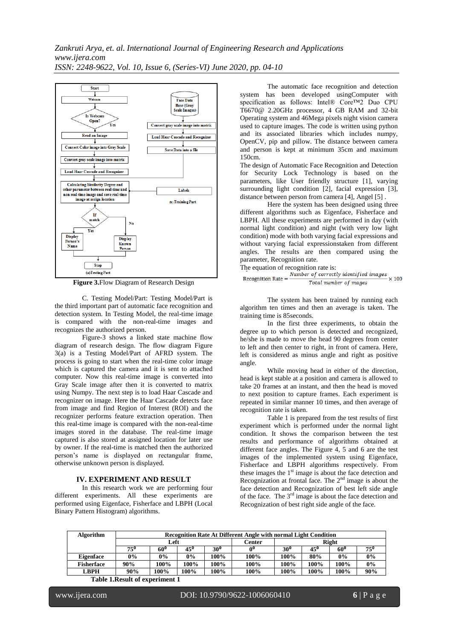

**Figure 3.**Flow Diagram of Research Design

C. Testing Model/Part: Testing Model/Part is the third important part of automatic face recognition and detection system. In Testing Model, the real-time image is compared with the non-real-time images and recognizes the authorized person.

Figure-3 shows a linked state machine flow diagram of research design. The flow diagram Figure 3(a) is a Testing Model/Part of AFRD system. The process is going to start when the real-time color image which is captured the camera and it is sent to attached computer. Now this real-time image is converted into Gray Scale image after then it is converted to matrix using Numpy. The next step is to load Haar Cascade and recognizer on image. Here the Haar Cascade detects face from image and find Region of Interest (ROI) and the recognizer performs feature extraction operation. Then this real-time image is compared with the non-real-time images stored in the database. The real-time image captured is also stored at assigned location for later use by owner. If the real-time is matched then the authorized person's name is displayed on rectangular frame, otherwise unknown person is displayed.

#### **IV. EXPERIMENT AND RESULT**

In this research work we are performing four different experiments. All these experiments are performed using Eigenface, Fisherface and LBPH (Local Binary Pattern Histogram) algorithms.

The automatic face recognition and detection system has been developed usingComputer with specification as follows: Intel® Core™2 Duo CPU T6670@ 2.20GHz processor, 4 GB RAM and 32-bit Operating system and 46Mega pixels night vision camera used to capture images. The code is written using python and its associated libraries which includes numpy, OpenCV, pip and pillow. The distance between camera and person is kept at minimum 35cm and maximum 150cm.

The design of Automatic Face Recognition and Detection for Security Lock Technology is based on the parameters, like User friendly structure [1], varying surrounding light condition [2], facial expression [3], distance between person from camera [4], Angel [5] .

Here the system has been designed using three different algorithms such as Eigenface, Fisherface and LBPH. All these experiments are performed in day (with normal light condition) and night (with very low light condition) mode with both varying facial expressions and without varying facial expressionstaken from different angles. The results are then compared using the parameter, Recognition rate.

The equation of recognition rate is:

| Recognition Rate $=$ | Number of correctly identified images | $\times 100$ |
|----------------------|---------------------------------------|--------------|
|                      | Total number of mages                 |              |

The system has been trained by running each algorithm ten times and then an average is taken. The training time is 85seconds.

In the first three experiments, to obtain the degree up to which person is detected and recognized, he/she is made to move the head 90 degrees from center to left and then center to right, in front of camera. Here, left is considered as minus angle and right as positive angle.

While moving head in either of the direction, head is kept stable at a position and camera is allowed to take 20 frames at an instant, and then the head is moved to next position to capture frames. Each experiment is repeated in similar manner 10 times, and then average of recognition rate is taken.

Table 1 is prepared from the test results of first experiment which is performed under the normal light condition. It shows the comparison between the test results and performance of algorithms obtained at different face angles. The Figure 4, 5 and 6 are the test images of the implemented system using Eigenface, Fisherface and LBPH algorithms respectively. From these images the  $1<sup>st</sup>$  image is about the face detection and Recognization at frontal face. The  $2<sup>nd</sup>$  image is about the face detection and Recognization of best left side angle of the face. The  $3<sup>rd</sup>$  image is about the face detection and Recognization of best right side angle of the face.

| <b>Algorithm</b> | <b>Recognition Rate At Different Angle with normal Light Condition</b> |              |       |        |       |              |      |            |       |
|------------------|------------------------------------------------------------------------|--------------|-------|--------|-------|--------------|------|------------|-------|
|                  | Left                                                                   |              |       | Center | Right |              |      |            |       |
|                  | $75^{\circ}$                                                           | $60^{\circ}$ | 45°   | 30°    | л0-   | $30^{\circ}$ | 45°  | $60^\circ$ | 75°   |
| Eigenface        | 0%                                                                     | $0\%$        | $0\%$ | 100%   | 100%  | 100%         | 80%  | $0\%$      | $0\%$ |
| Fisherface       | 90%                                                                    | 100%         | 100%  | 100%   | 100%  | 100%         | 100% | 100%       | $0\%$ |
| LBPH             | 90%                                                                    | 100%         | 100%  | 100%   | 100%  | 100%         | 100% | 100%       | 90%   |

**Table 1.Result of experiment 1**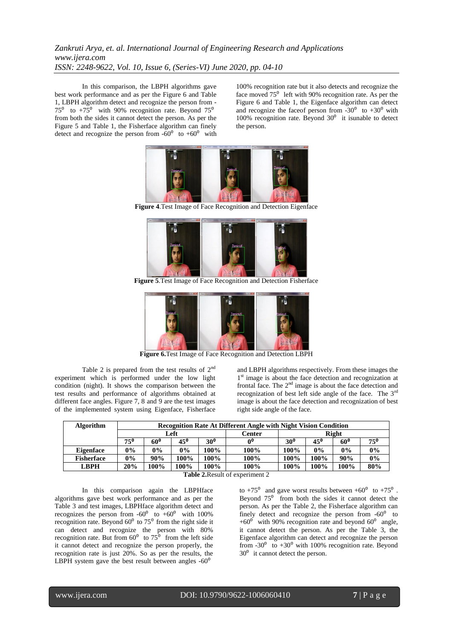In this comparison, the LBPH algorithms gave best work performance and as per the Figure 6 and Table 1, LBPH algorithm detect and recognize the person from -  $75^{\circ}$  to  $+75^{\circ}$  with 90% recognition rate. Beyond  $75^{\circ}$ from both the sides it cannot detect the person. As per the Figure 5 and Table 1, the Fisherface algorithm can finely detect and recognize the person from  $-60^{\circ}$  to  $+60^{\circ}$  with

100% recognition rate but it also detects and recognize the face moved  $75^{\circ}$  left with 90% recognition rate. As per the Figure 6 and Table 1, the Eigenface algorithm can detect and recognize the faceof person from  $-30^0$  to  $+30^0$  with 100% recognition rate. Beyond  $30^0$  it isunable to detect the person.



**Figure 4**.Test Image of Face Recognition and Detection Eigenface



**Figure 5**.Test Image of Face Recognition and Detection Fisherface



**Figure 6.**Test Image of Face Recognition and Detection LBPH

Table 2 is prepared from the test results of  $2<sup>nd</sup>$ experiment which is performed under the low light condition (night). It shows the comparison between the test results and performance of algorithms obtained at different face angles. Figure 7, 8 and 9 are the test images of the implemented system using Eigenface, Fisherface

and LBPH algorithms respectively. From these images the 1<sup>st</sup> image is about the face detection and recognization at frontal face. The  $2<sup>nd</sup>$  image is about the face detection and recognization of best left side angle of the face. The 3rd image is about the face detection and recognization of best right side angle of the face.

| <b>Algorithm</b>  | <b>Recognition Rate At Different Angle with Night Vision Condition</b> |       |              |        |       |              |              |            |              |
|-------------------|------------------------------------------------------------------------|-------|--------------|--------|-------|--------------|--------------|------------|--------------|
|                   | Left                                                                   |       |              | Center | Right |              |              |            |              |
|                   | $75^{\circ}$                                                           | 60°   | $45^{\circ}$ | 30°    | ∩∪    | $30^{\circ}$ | $45^{\circ}$ | $60^\circ$ | $75^{\circ}$ |
| Eigenface         | $0\%$                                                                  | $0\%$ | $0\%$        | 100%   | 100%  | 100%         | 0%           | $0\%$      | $0\%$        |
| <b>Fisherface</b> | 0%                                                                     | 90%   | 100%         | 100%   | 100%  | $100\%$      | $100\%$      | 90%        | 0%           |
| LBPH              | 20%                                                                    | 100%  | 100%         | 100%   | 100%  | 100%         | 100%         | 100%       | 80%          |

**Table 2.**Result of experiment 2

In this comparison again the LBPHface algorithms gave best work performance and as per the Table 3 and test images, LBPHface algorithm detect and recognizes the person from  $-60^{\circ}$  to  $+60^{\circ}$  with 100% recognition rate. Beyond  $60^{\circ}$  to  $75^{\circ}$  from the right side it can detect and recognize the person with 80% recognition rate. But from  $60^{\circ}$  to  $75^{\circ}$  from the left side it cannot detect and recognize the person properly, the recognition rate is just 20%. So as per the results, the LBPH system gave the best result between angles  $-60^{\circ}$ 

to  $+75^{\circ}$  and gave worst results between  $+60^{\circ}$  to  $+75^{\circ}$ . Beyond  $75^{\circ}$  from both the sides it cannot detect the person. As per the Table 2, the Fisherface algorithm can finely detect and recognize the person from  $-60^\circ$  to  $+60<sup>o</sup>$  with 90% recognition rate and beyond 60<sup>°</sup> angle, it cannot detect the person. As per the Table 3, the Eigenface algorithm can detect and recognize the person from  $-30^{\circ}$  to  $+30^{\circ}$  with 100% recognition rate. Beyond  $30<sup>0</sup>$  it cannot detect the person.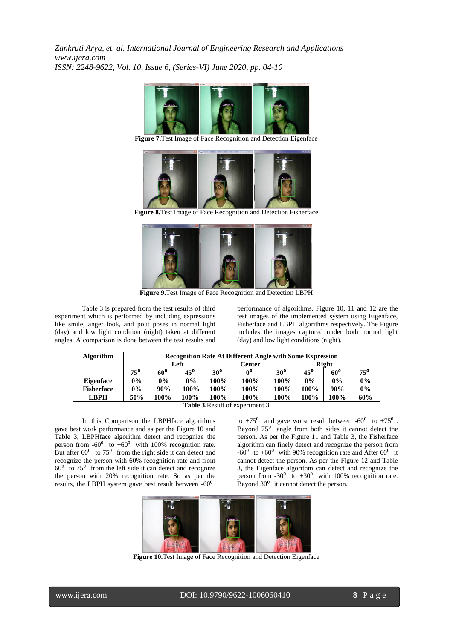

**Figure 7.**Test Image of Face Recognition and Detection Eigenface



**Figure 8.**Test Image of Face Recognition and Detection Fisherface



**Figure 9.**Test Image of Face Recognition and Detection LBPH

Table 3 is prepared from the test results of third experiment which is performed by including expressions like smile, anger look, and pout poses in normal light (day) and low light condition (night) taken at different angles. A comparison is done between the test results and

performance of algorithms. Figure 10, 11 and 12 are the test images of the implemented system using Eigenface, Fisherface and LBPH algorithms respectively. The Figure includes the images captured under both normal light (day) and low light conditions (night).

| <b>Algorithm</b>                                                                                                                                                                                                                                                                                                                                                                | <b>Recognition Rate At Different Angle with Some Expression</b> |       |              |               |       |                 |       |                 |          |
|---------------------------------------------------------------------------------------------------------------------------------------------------------------------------------------------------------------------------------------------------------------------------------------------------------------------------------------------------------------------------------|-----------------------------------------------------------------|-------|--------------|---------------|-------|-----------------|-------|-----------------|----------|
|                                                                                                                                                                                                                                                                                                                                                                                 | Left                                                            |       |              | <b>Center</b> | Right |                 |       |                 |          |
|                                                                                                                                                                                                                                                                                                                                                                                 | $75^{\circ}$                                                    | 60°   | $45^{\circ}$ | $30^{\circ}$  | Ω0    | 30 <sup>0</sup> | 45°   | 60 <sup>0</sup> | $75^{0}$ |
| <b>Eigenface</b>                                                                                                                                                                                                                                                                                                                                                                | $0\%$                                                           | $0\%$ | 0%           | 100%          | 100%  | 100%            | $0\%$ | $0\%$           | 0%       |
| <b>Fisherface</b>                                                                                                                                                                                                                                                                                                                                                               | 0%                                                              | 90%   | 100%         | 100%          | 100%  | 100%            | 100%  | 90%             | 0%       |
| <b>LBPH</b>                                                                                                                                                                                                                                                                                                                                                                     | 50%                                                             | 100%  | 100%         | 100%          | 100%  | 100%            | 100%  | 100%            | 60%      |
| $\mathbf{m}$ , $\mathbf{m}$ , $\mathbf{n}$ , $\mathbf{n}$ , $\mathbf{n}$ , $\mathbf{n}$ , $\mathbf{n}$ , $\mathbf{n}$ , $\mathbf{n}$ , $\mathbf{n}$ , $\mathbf{n}$ , $\mathbf{n}$ , $\mathbf{n}$ , $\mathbf{n}$ , $\mathbf{n}$ , $\mathbf{n}$ , $\mathbf{n}$ , $\mathbf{n}$ , $\mathbf{n}$ , $\mathbf{n}$ , $\mathbf{n}$ , $\mathbf{n}$ , $\mathbf{n}$ , $\mathbf{n}$ , $\math$ |                                                                 |       |              |               |       |                 |       |                 |          |

**Table 3.**Result of experiment 3

In this Comparison the LBPHface algorithms gave best work performance and as per the Figure 10 and Table 3, LBPHface algorithm detect and recognize the person from  $-60^{\circ}$  to  $+60^{\circ}$  with 100% recognition rate. But after  $60^{\circ}$  to  $75^{\circ}$  from the right side it can detect and recognize the person with 60% recognition rate and from  $60<sup>o</sup>$  to 75<sup> $o$ </sup> from the left side it can detect and recognize the person with 20% recognition rate. So as per the results, the LBPH system gave best result between  $-60^{\circ}$ 

to  $+75^{\circ}$  and gave worst result between  $-60^{\circ}$  to  $+75^{\circ}$ . Beyond  $75^\circ$  angle from both sides it cannot detect the person. As per the Figure 11 and Table 3, the Fisherface algorithm can finely detect and recognize the person from  $-60^{\circ}$  to  $+60^{\circ}$  with 90% recognition rate and After 60 $^{\circ}$  it cannot detect the person. As per the Figure 12 and Table 3, the Eigenface algorithm can detect and recognize the person from  $-30^0$  to  $+30^0$  with 100% recognition rate. Beyond  $30<sup>0</sup>$  it cannot detect the person.



**Figure 10.**Test Image of Face Recognition and Detection Eigenface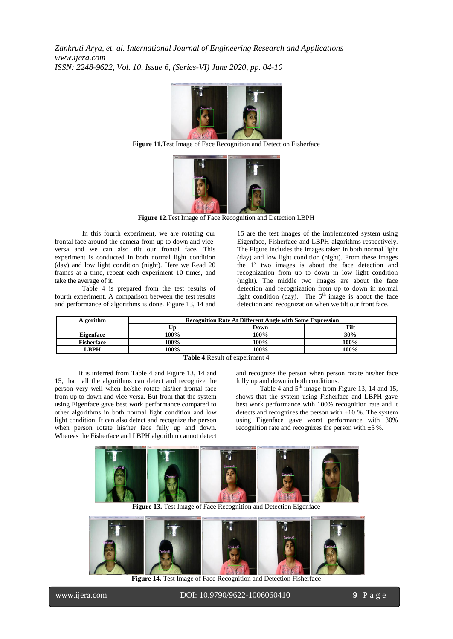

**Figure 11.**Test Image of Face Recognition and Detection Fisherface



**Figure 12**.Test Image of Face Recognition and Detection LBPH

In this fourth experiment, we are rotating our frontal face around the camera from up to down and viceversa and we can also tilt our frontal face. This experiment is conducted in both normal light condition (day) and low light condition (night). Here we Read 20 frames at a time, repeat each experiment 10 times, and take the average of it.

Table 4 is prepared from the test results of fourth experiment. A comparison between the test results and performance of algorithms is done. Figure 13, 14 and

15 are the test images of the implemented system using Eigenface, Fisherface and LBPH algorithms respectively. The Figure includes the images taken in both normal light (day) and low light condition (night). From these images the 1<sup>st</sup> two images is about the face detection and recognization from up to down in low light condition (night). The middle two images are about the face detection and recognization from up to down in normal light condition (day). The  $5<sup>th</sup>$  image is about the face detection and recognization when we tilt our front face.

| Algorithm                                                        | <b>Recognition Rate At Different Angle with Some Expression</b> |      |      |  |  |  |
|------------------------------------------------------------------|-----------------------------------------------------------------|------|------|--|--|--|
|                                                                  |                                                                 | Down | Tilt |  |  |  |
| Eigenface                                                        | 100%                                                            | 100% | 30%  |  |  |  |
| <b>Fisherface</b>                                                | 100%                                                            | 100% | 100% |  |  |  |
| LBPH                                                             | 100%                                                            | 100% | 100% |  |  |  |
| $\mathbf{m}$ is in<br>$\mathbf{1}$ $\mathbf{0}$<br>$\sim$ $\sim$ |                                                                 |      |      |  |  |  |

**Table 4**.Result of experiment 4

It is inferred from Table 4 and Figure 13, 14 and 15, that all the algorithms can detect and recognize the person very well when he/she rotate his/her frontal face from up to down and vice-versa. But from that the system using Eigenface gave best work performance compared to other algorithms in both normal light condition and low light condition. It can also detect and recognize the person when person rotate his/her face fully up and down. Whereas the Fisherface and LBPH algorithm cannot detect

and recognize the person when person rotate his/her face fully up and down in both conditions.

Table 4 and  $5<sup>th</sup>$  image from Figure 13, 14 and 15, shows that the system using Fisherface and LBPH gave best work performance with 100% recognition rate and it detects and recognizes the person with  $\pm 10$  %. The system using Eigenface gave worst performance with 30% recognition rate and recognizes the person with  $\pm 5$ %.



**Figure 13.** Test Image of Face Recognition and Detection Eigenface



**Figure 14.** Test Image of Face Recognition and Detection Fisherface

l

www.ijera.com DOI: 10.9790/9622-1006060410 **9** | P a g e